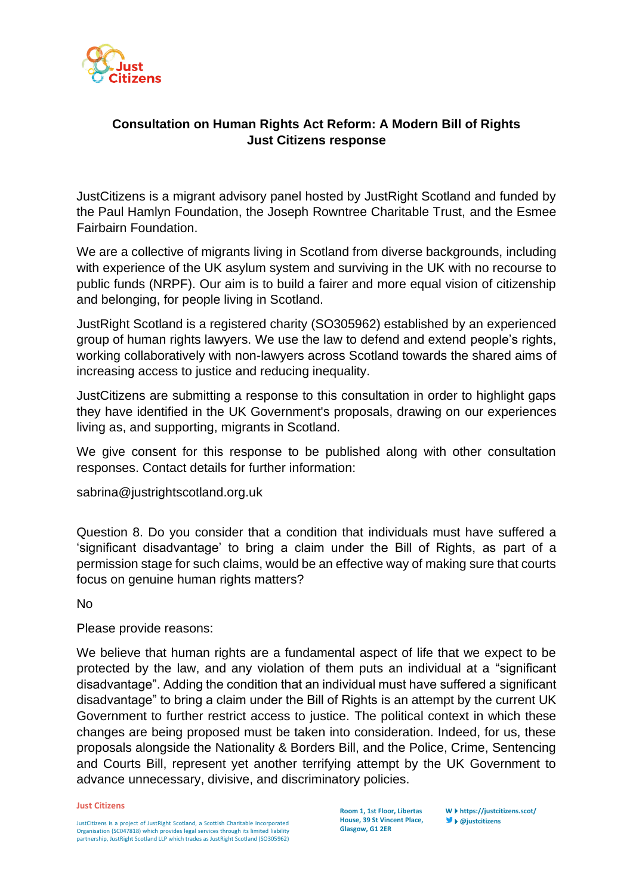

## **Consultation on Human Rights Act Reform: A Modern Bill of Rights Just Citizens response**

JustCitizens is a migrant advisory panel hosted by JustRight Scotland and funded by the Paul Hamlyn Foundation, the Joseph Rowntree Charitable Trust, and the Esmee Fairbairn Foundation.

We are a collective of migrants living in Scotland from diverse backgrounds, including with experience of the UK asylum system and surviving in the UK with no recourse to public funds (NRPF). Our aim is to build a fairer and more equal vision of citizenship and belonging, for people living in Scotland.

JustRight Scotland is a registered charity (SO305962) established by an experienced group of human rights lawyers. We use the law to defend and extend people's rights, working collaboratively with non-lawyers across Scotland towards the shared aims of increasing access to justice and reducing inequality.

JustCitizens are submitting a response to this consultation in order to highlight gaps they have identified in the UK Government's proposals, drawing on our experiences living as, and supporting, migrants in Scotland.

We give consent for this response to be published along with other consultation responses. Contact details for further information:

sabrina@justrightscotland.org.uk

Question 8. Do you consider that a condition that individuals must have suffered a 'significant disadvantage' to bring a claim under the Bill of Rights, as part of a permission stage for such claims, would be an effective way of making sure that courts focus on genuine human rights matters?

No

## Please provide reasons:

We believe that human rights are a fundamental aspect of life that we expect to be protected by the law, and any violation of them puts an individual at a "significant disadvantage". Adding the condition that an individual must have suffered a significant disadvantage" to bring a claim under the Bill of Rights is an attempt by the current UK Government to further restrict access to justice. The political context in which these changes are being proposed must be taken into consideration. Indeed, for us, these proposals alongside the Nationality & Borders Bill, and the Police, Crime, Sentencing and Courts Bill, represent yet another terrifying attempt by the UK Government to advance unnecessary, divisive, and discriminatory policies.

## **Just Citizens**

JustCitizens is a project of JustRight Scotland, a Scottish Charitable Incorporated Organisation (SC047818) which provides legal services through its limited liability partnership, JustRight Scotland LLP which trades as JustRight Scotland (SO305962)

**Room 1, 1st Floor, Libertas House, 39 St Vincent Place, Glasgow, G1 2ER**

**Whttps://justcitizens.scot/ @justcitizens**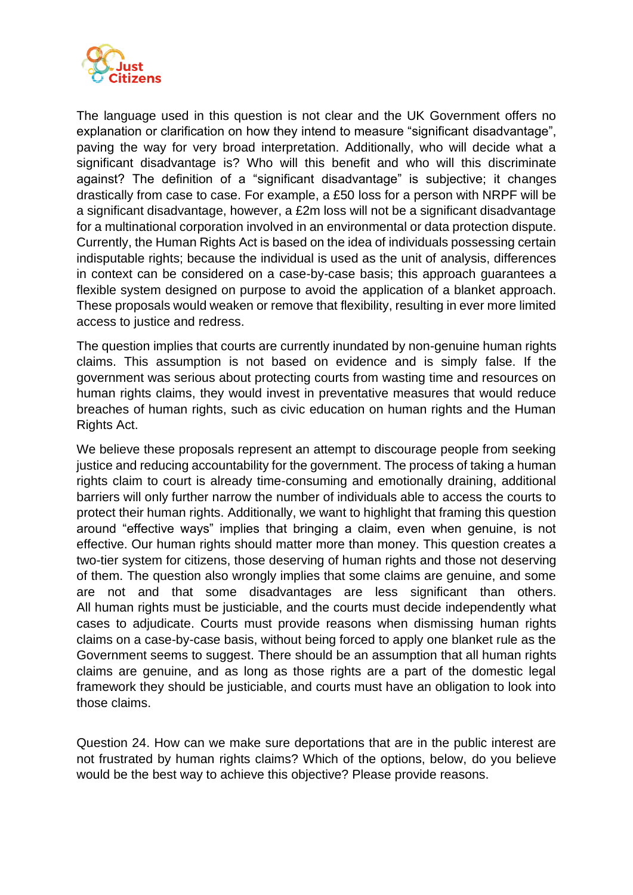

The language used in this question is not clear and the UK Government offers no explanation or clarification on how they intend to measure "significant disadvantage", paving the way for very broad interpretation. Additionally, who will decide what a significant disadvantage is? Who will this benefit and who will this discriminate against? The definition of a "significant disadvantage" is subjective; it changes drastically from case to case. For example, a £50 loss for a person with NRPF will be a significant disadvantage, however, a £2m loss will not be a significant disadvantage for a multinational corporation involved in an environmental or data protection dispute. Currently, the Human Rights Act is based on the idea of individuals possessing certain indisputable rights; because the individual is used as the unit of analysis, differences in context can be considered on a case-by-case basis; this approach guarantees a flexible system designed on purpose to avoid the application of a blanket approach. These proposals would weaken or remove that flexibility, resulting in ever more limited access to justice and redress.

The question implies that courts are currently inundated by non-genuine human rights claims. This assumption is not based on evidence and is simply false. If the government was serious about protecting courts from wasting time and resources on human rights claims, they would invest in preventative measures that would reduce breaches of human rights, such as civic education on human rights and the Human Rights Act.

We believe these proposals represent an attempt to discourage people from seeking justice and reducing accountability for the government. The process of taking a human rights claim to court is already time-consuming and emotionally draining, additional barriers will only further narrow the number of individuals able to access the courts to protect their human rights. Additionally, we want to highlight that framing this question around "effective ways" implies that bringing a claim, even when genuine, is not effective. Our human rights should matter more than money. This question creates a two-tier system for citizens, those deserving of human rights and those not deserving of them. The question also wrongly implies that some claims are genuine, and some are not and that some disadvantages are less significant than others. All human rights must be justiciable, and the courts must decide independently what cases to adjudicate. Courts must provide reasons when dismissing human rights claims on a case-by-case basis, without being forced to apply one blanket rule as the Government seems to suggest. There should be an assumption that all human rights claims are genuine, and as long as those rights are a part of the domestic legal framework they should be justiciable, and courts must have an obligation to look into those claims.

Question 24. How can we make sure deportations that are in the public interest are not frustrated by human rights claims? Which of the options, below, do you believe would be the best way to achieve this objective? Please provide reasons.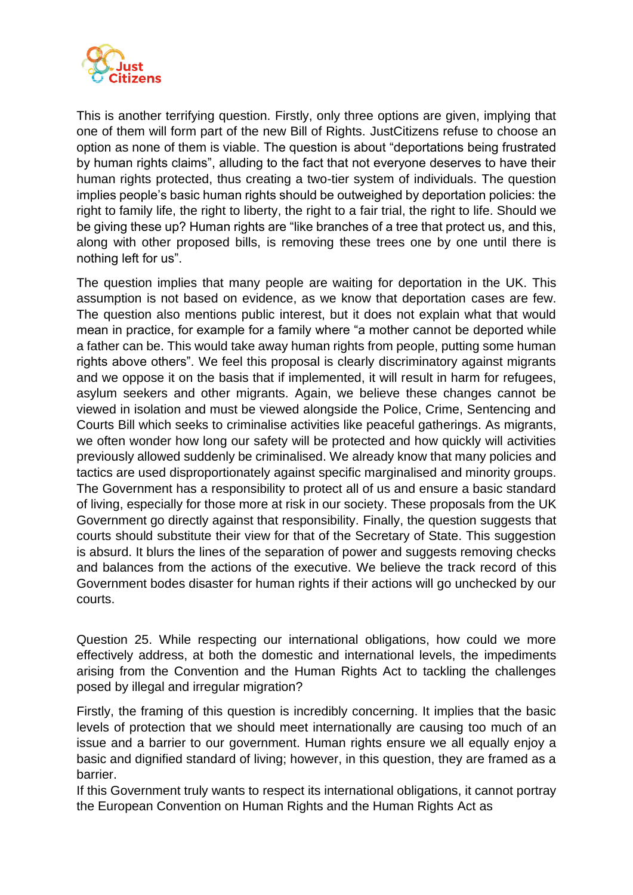

This is another terrifying question. Firstly, only three options are given, implying that one of them will form part of the new Bill of Rights. JustCitizens refuse to choose an option as none of them is viable. The question is about "deportations being frustrated by human rights claims", alluding to the fact that not everyone deserves to have their human rights protected, thus creating a two-tier system of individuals. The question implies people's basic human rights should be outweighed by deportation policies: the right to family life, the right to liberty, the right to a fair trial, the right to life. Should we be giving these up? Human rights are "like branches of a tree that protect us, and this, along with other proposed bills, is removing these trees one by one until there is nothing left for us".

The question implies that many people are waiting for deportation in the UK. This assumption is not based on evidence, as we know that deportation cases are few. The question also mentions public interest, but it does not explain what that would mean in practice, for example for a family where "a mother cannot be deported while a father can be. This would take away human rights from people, putting some human rights above others". We feel this proposal is clearly discriminatory against migrants and we oppose it on the basis that if implemented, it will result in harm for refugees, asylum seekers and other migrants. Again, we believe these changes cannot be viewed in isolation and must be viewed alongside the Police, Crime, Sentencing and Courts Bill which seeks to criminalise activities like peaceful gatherings. As migrants, we often wonder how long our safety will be protected and how quickly will activities previously allowed suddenly be criminalised. We already know that many policies and tactics are used disproportionately against specific marginalised and minority groups. The Government has a responsibility to protect all of us and ensure a basic standard of living, especially for those more at risk in our society. These proposals from the UK Government go directly against that responsibility. Finally, the question suggests that courts should substitute their view for that of the Secretary of State. This suggestion is absurd. It blurs the lines of the separation of power and suggests removing checks and balances from the actions of the executive. We believe the track record of this Government bodes disaster for human rights if their actions will go unchecked by our courts.

Question 25. While respecting our international obligations, how could we more effectively address, at both the domestic and international levels, the impediments arising from the Convention and the Human Rights Act to tackling the challenges posed by illegal and irregular migration?

Firstly, the framing of this question is incredibly concerning. It implies that the basic levels of protection that we should meet internationally are causing too much of an issue and a barrier to our government. Human rights ensure we all equally enjoy a basic and dignified standard of living; however, in this question, they are framed as a barrier.

If this Government truly wants to respect its international obligations, it cannot portray the European Convention on Human Rights and the Human Rights Act as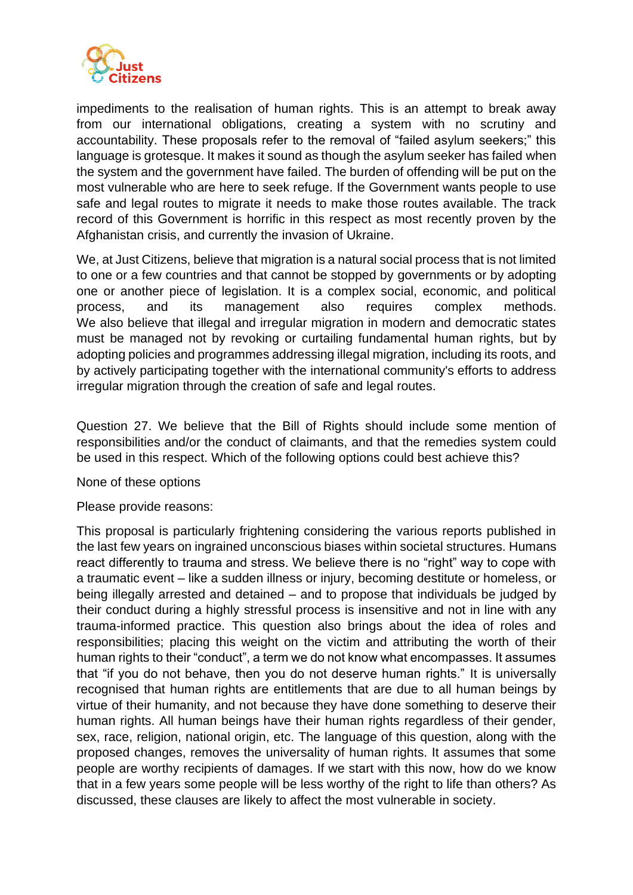

impediments to the realisation of human rights. This is an attempt to break away from our international obligations, creating a system with no scrutiny and accountability. These proposals refer to the removal of "failed asylum seekers;" this language is grotesque. It makes it sound as though the asylum seeker has failed when the system and the government have failed. The burden of offending will be put on the most vulnerable who are here to seek refuge. If the Government wants people to use safe and legal routes to migrate it needs to make those routes available. The track record of this Government is horrific in this respect as most recently proven by the Afghanistan crisis, and currently the invasion of Ukraine.

We, at Just Citizens, believe that migration is a natural social process that is not limited to one or a few countries and that cannot be stopped by governments or by adopting one or another piece of legislation. It is a complex social, economic, and political process, and its management also requires complex methods. We also believe that illegal and irregular migration in modern and democratic states must be managed not by revoking or curtailing fundamental human rights, but by adopting policies and programmes addressing illegal migration, including its roots, and by actively participating together with the international community's efforts to address irregular migration through the creation of safe and legal routes.

Question 27. We believe that the Bill of Rights should include some mention of responsibilities and/or the conduct of claimants, and that the remedies system could be used in this respect. Which of the following options could best achieve this?

None of these options

Please provide reasons:

This proposal is particularly frightening considering the various reports published in the last few years on ingrained unconscious biases within societal structures. Humans react differently to trauma and stress. We believe there is no "right" way to cope with a traumatic event – like a sudden illness or injury, becoming destitute or homeless, or being illegally arrested and detained – and to propose that individuals be judged by their conduct during a highly stressful process is insensitive and not in line with any trauma-informed practice. This question also brings about the idea of roles and responsibilities; placing this weight on the victim and attributing the worth of their human rights to their "conduct", a term we do not know what encompasses. It assumes that "if you do not behave, then you do not deserve human rights." It is universally recognised that human rights are entitlements that are due to all human beings by virtue of their humanity, and not because they have done something to deserve their human rights. All human beings have their human rights regardless of their gender, sex, race, religion, national origin, etc. The language of this question, along with the proposed changes, removes the universality of human rights. It assumes that some people are worthy recipients of damages. If we start with this now, how do we know that in a few years some people will be less worthy of the right to life than others? As discussed, these clauses are likely to affect the most vulnerable in society.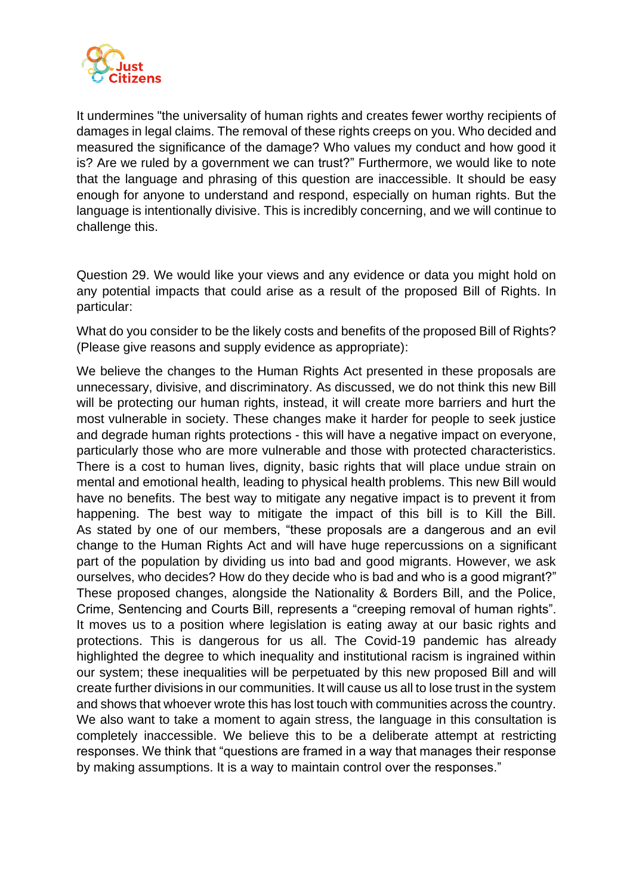

It undermines "the universality of human rights and creates fewer worthy recipients of damages in legal claims. The removal of these rights creeps on you. Who decided and measured the significance of the damage? Who values my conduct and how good it is? Are we ruled by a government we can trust?" Furthermore, we would like to note that the language and phrasing of this question are inaccessible. It should be easy enough for anyone to understand and respond, especially on human rights. But the language is intentionally divisive. This is incredibly concerning, and we will continue to challenge this.

Question 29. We would like your views and any evidence or data you might hold on any potential impacts that could arise as a result of the proposed Bill of Rights. In particular:

What do you consider to be the likely costs and benefits of the proposed Bill of Rights? (Please give reasons and supply evidence as appropriate):

We believe the changes to the Human Rights Act presented in these proposals are unnecessary, divisive, and discriminatory. As discussed, we do not think this new Bill will be protecting our human rights, instead, it will create more barriers and hurt the most vulnerable in society. These changes make it harder for people to seek justice and degrade human rights protections - this will have a negative impact on everyone, particularly those who are more vulnerable and those with protected characteristics. There is a cost to human lives, dignity, basic rights that will place undue strain on mental and emotional health, leading to physical health problems. This new Bill would have no benefits. The best way to mitigate any negative impact is to prevent it from happening. The best way to mitigate the impact of this bill is to Kill the Bill. As stated by one of our members, "these proposals are a dangerous and an evil change to the Human Rights Act and will have huge repercussions on a significant part of the population by dividing us into bad and good migrants. However, we ask ourselves, who decides? How do they decide who is bad and who is a good migrant?" These proposed changes, alongside the Nationality & Borders Bill, and the Police, Crime, Sentencing and Courts Bill, represents a "creeping removal of human rights". It moves us to a position where legislation is eating away at our basic rights and protections. This is dangerous for us all. The Covid-19 pandemic has already highlighted the degree to which inequality and institutional racism is ingrained within our system; these inequalities will be perpetuated by this new proposed Bill and will create further divisions in our communities. It will cause us all to lose trust in the system and shows that whoever wrote this has lost touch with communities across the country. We also want to take a moment to again stress, the language in this consultation is completely inaccessible. We believe this to be a deliberate attempt at restricting responses. We think that "questions are framed in a way that manages their response by making assumptions. It is a way to maintain control over the responses."